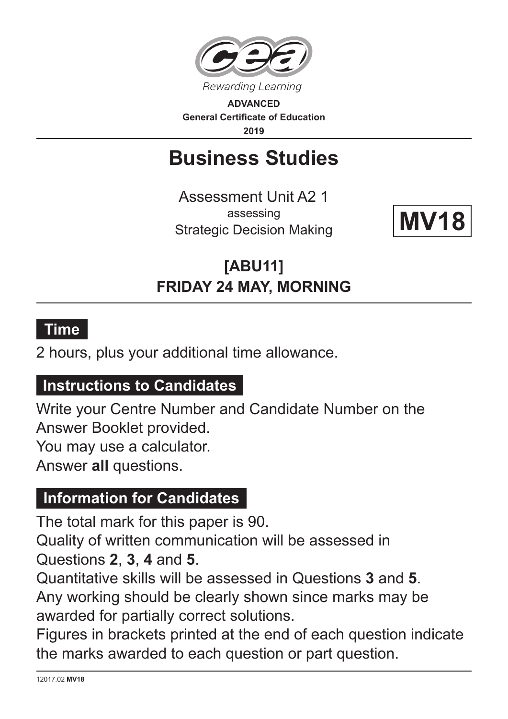

**ADVANCED General Certificate of Education 2019**

# **Business Studies**

Assessment Unit A2 1 assessing Strategic Decision Making



**[ABU11] FRIDAY 24 MAY, MORNING**

## **Time**

2 hours, plus your additional time allowance.

#### **Instructions to Candidates**

Write your Centre Number and Candidate Number on the Answer Booklet provided.

You may use a calculator.

Answer **all** questions.

#### **Information for Candidates**

The total mark for this paper is 90.

Quality of written communication will be assessed in Questions **2**, **3**, **4** and **5**.

Quantitative skills will be assessed in Questions **3** and **5**. Any working should be clearly shown since marks may be awarded for partially correct solutions.

Figures in brackets printed at the end of each question indicate the marks awarded to each question or part question.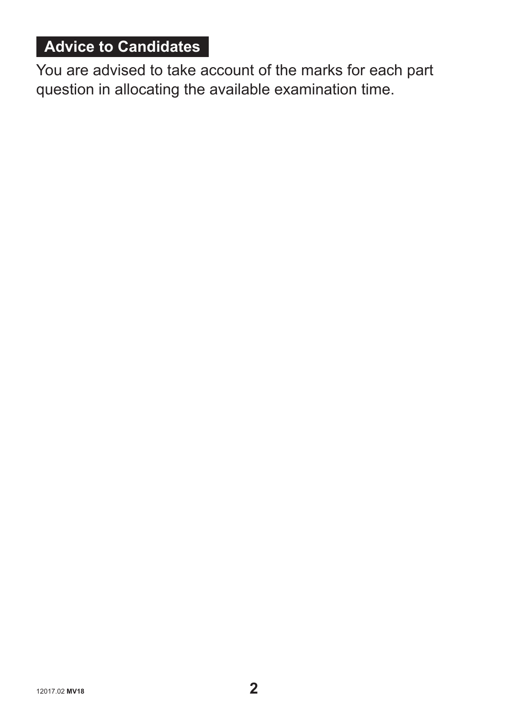# **Advice to Candidates**

You are advised to take account of the marks for each part question in allocating the available examination time.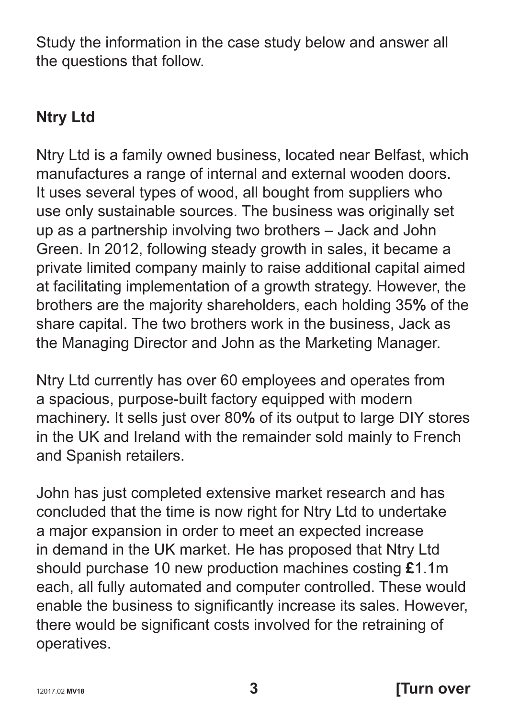Study the information in the case study below and answer all the questions that follow.

### **Ntry Ltd**

Ntry Ltd is a family owned business, located near Belfast, which manufactures a range of internal and external wooden doors. It uses several types of wood, all bought from suppliers who use only sustainable sources. The business was originally set up as a partnership involving two brothers – Jack and John Green. In 2012, following steady growth in sales, it became a private limited company mainly to raise additional capital aimed at facilitating implementation of a growth strategy. However, the brothers are the majority shareholders, each holding 35**%** of the share capital. The two brothers work in the business, Jack as the Managing Director and John as the Marketing Manager.

Ntry Ltd currently has over 60 employees and operates from a spacious, purpose-built factory equipped with modern machinery. It sells just over 80**%** of its output to large DIY stores in the UK and Ireland with the remainder sold mainly to French and Spanish retailers.

John has just completed extensive market research and has concluded that the time is now right for Ntry Ltd to undertake a major expansion in order to meet an expected increase in demand in the UK market. He has proposed that Ntry Ltd should purchase 10 new production machines costing **£**1.1m each, all fully automated and computer controlled. These would enable the business to significantly increase its sales. However, there would be significant costs involved for the retraining of operatives.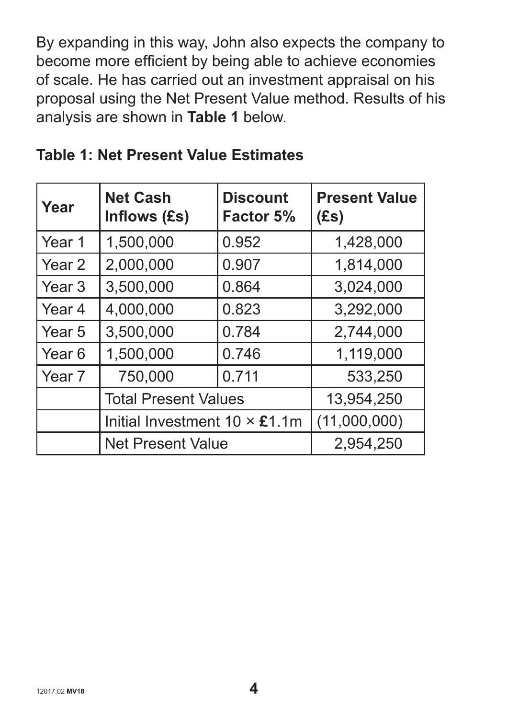By expanding in this way, John also expects the company to become more efficient by being able to achieve economies of scale. He has carried out an investment appraisal on his proposal using the Net Present Value method. Results of his analysis are shown in **Table 1** below.

| Year              | <b>Net Cash</b><br>Inflows (£s)                   | <b>Discount</b><br>Factor 5% | <b>Present Value</b><br>(Es) |  |
|-------------------|---------------------------------------------------|------------------------------|------------------------------|--|
| Year 1            | 1,500,000                                         | 0.952                        | 1,428,000                    |  |
| Year 2            | 2,000,000                                         | 0.907                        | 1,814,000                    |  |
| Year <sub>3</sub> | 3,500,000                                         | 0.864                        | 3,024,000                    |  |
| Year 4            | 4,000,000                                         | 0.823                        | 3,292,000                    |  |
| Year 5            | 3,500,000                                         | 0.784                        | 2,744,000                    |  |
| Year 6            | 1,500,000                                         | 0.746                        | 1,119,000                    |  |
| Year <sub>7</sub> | 750,000                                           | 0.711                        | 533,250                      |  |
|                   | <b>Total Present Values</b>                       |                              | 13,954,250                   |  |
|                   | Initial Investment $10 \times \text{\pounds}1.1m$ |                              | (11,000,000)                 |  |
|                   | <b>Net Present Value</b>                          |                              | 2,954,250                    |  |

#### **Table 1: Net Present Value Estimates**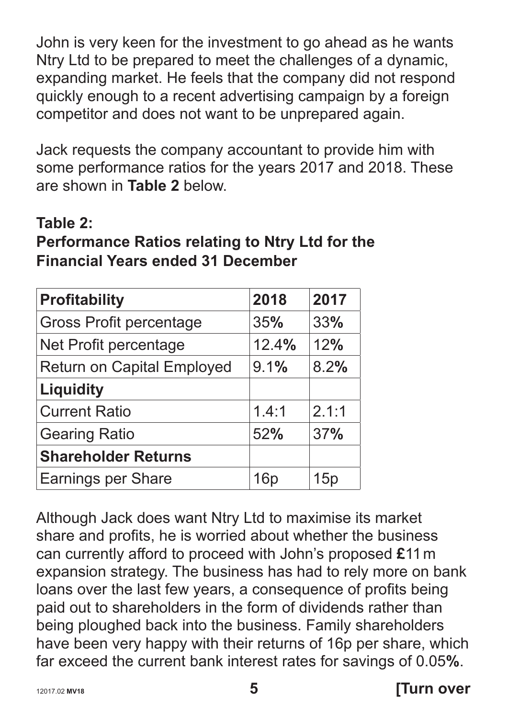John is very keen for the investment to go ahead as he wants Ntry Ltd to be prepared to meet the challenges of a dynamic, expanding market. He feels that the company did not respond quickly enough to a recent advertising campaign by a foreign competitor and does not want to be unprepared again.

Jack requests the company accountant to provide him with some performance ratios for the years 2017 and 2018. These are shown in **Table 2** below.

#### **Table 2:**

#### **Performance Ratios relating to Ntry Ltd for the Financial Years ended 31 December**

| <b>Profitability</b>              | 2018  | 2017       |
|-----------------------------------|-------|------------|
| <b>Gross Profit percentage</b>    | 35%   | 33%        |
| Net Profit percentage             | 12.4% | 12%        |
| <b>Return on Capital Employed</b> | 9.1%  | 8.2%       |
| <b>Liquidity</b>                  |       |            |
| <b>Current Ratio</b>              | 1.4:1 | 2.1:1      |
| <b>Gearing Ratio</b>              | 52%   | <b>37%</b> |
| <b>Shareholder Returns</b>        |       |            |
| <b>Earnings per Share</b>         | 16p   | 15p        |

Although Jack does want Ntry Ltd to maximise its market share and profits, he is worried about whether the business can currently afford to proceed with John's proposed **£**11 m expansion strategy. The business has had to rely more on bank loans over the last few years, a consequence of profits being paid out to shareholders in the form of dividends rather than being ploughed back into the business. Family shareholders have been very happy with their returns of 16p per share, which far exceed the current bank interest rates for savings of 0.05**%**.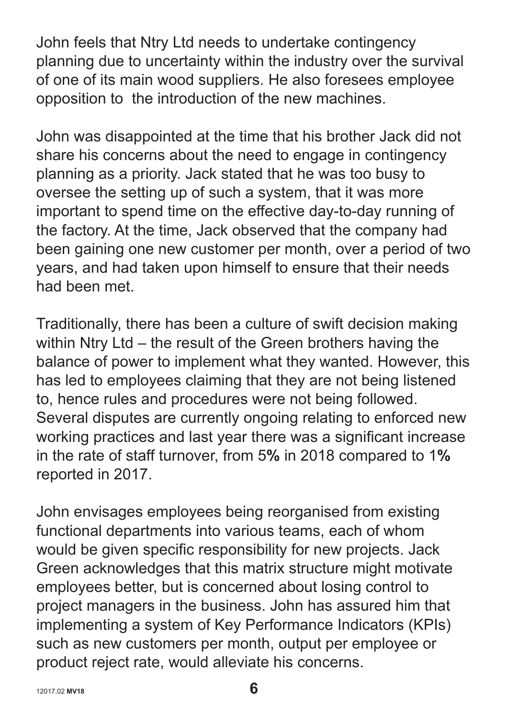John feels that Ntry Ltd needs to undertake contingency planning due to uncertainty within the industry over the survival of one of its main wood suppliers. He also foresees employee opposition to the introduction of the new machines.

John was disappointed at the time that his brother Jack did not share his concerns about the need to engage in contingency planning as a priority. Jack stated that he was too busy to oversee the setting up of such a system, that it was more important to spend time on the effective day-to-day running of the factory. At the time, Jack observed that the company had been gaining one new customer per month, over a period of two years, and had taken upon himself to ensure that their needs had been met.

Traditionally, there has been a culture of swift decision making within Ntry Ltd – the result of the Green brothers having the balance of power to implement what they wanted. However, this has led to employees claiming that they are not being listened to, hence rules and procedures were not being followed. Several disputes are currently ongoing relating to enforced new working practices and last year there was a significant increase in the rate of staff turnover, from 5**%** in 2018 compared to 1**%** reported in 2017.

John envisages employees being reorganised from existing functional departments into various teams, each of whom would be given specific responsibility for new projects. Jack Green acknowledges that this matrix structure might motivate employees better, but is concerned about losing control to project managers in the business. John has assured him that implementing a system of Key Performance Indicators (KPIs) such as new customers per month, output per employee or product reject rate, would alleviate his concerns.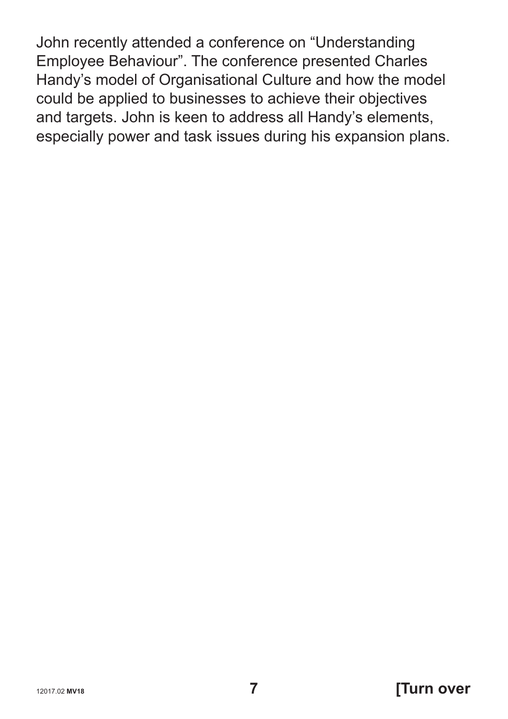John recently attended a conference on "Understanding Employee Behaviour". The conference presented Charles Handy's model of Organisational Culture and how the model could be applied to businesses to achieve their objectives and targets. John is keen to address all Handy's elements, especially power and task issues during his expansion plans.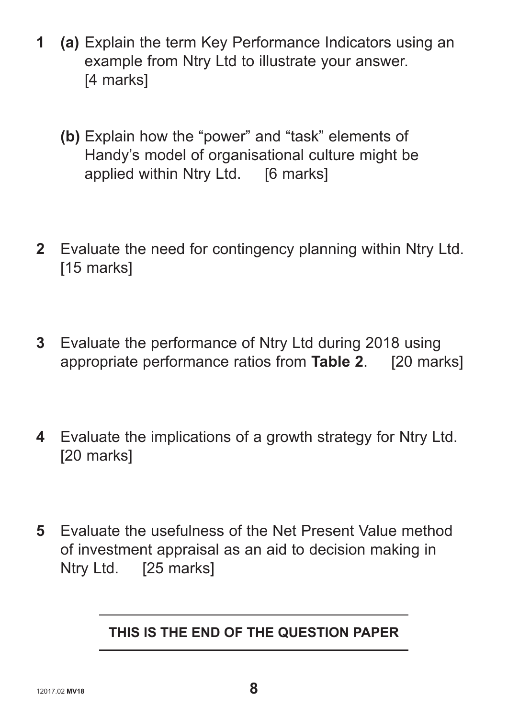- **1 (a)** Explain the term Key Performance Indicators using an example from Ntry Ltd to illustrate your answer. [4 marks]
	- **(b)** Explain how the "power" and "task" elements of Handy's model of organisational culture might be applied within Ntry Ltd. [6 marks]
- **2** Evaluate the need for contingency planning within Ntry Ltd. [15 marks]
- **3** Evaluate the performance of Ntry Ltd during 2018 using appropriate performance ratios from **Table 2**. [20 marks]
- **4** Evaluate the implications of a growth strategy for Ntry Ltd. [20 marks]
- **5** Evaluate the usefulness of the Net Present Value method of investment appraisal as an aid to decision making in Ntry Ltd. [25 marks]

#### **THIS IS THE END OF THE QUESTION PAPER**